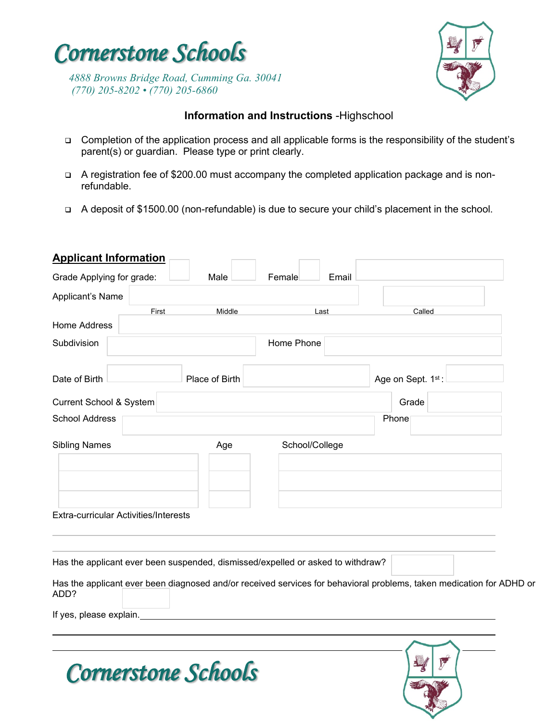

*4888 Browns Bridge Road, Cumming Ga. 30041 (770) 205-8202 • (770) 205-6860*

 *Cornerstone Schools* 



### **Information and Instructions** -Highschool

- □ Completion of the application process and all applicable forms is the responsibility of the student's parent(s) or guardian. Please type or print clearly.
- A registration fee of \$200.00 must accompany the completed application package and is nonrefundable.
- A deposit of \$1500.00 (non-refundable) is due to secure your child's placement in the school.

| <b>Applicant Information</b>                                                                                                 |                |                 |                   |  |
|------------------------------------------------------------------------------------------------------------------------------|----------------|-----------------|-------------------|--|
| Grade Applying for grade:                                                                                                    | Male           | Female<br>Email |                   |  |
| Applicant's Name                                                                                                             |                |                 |                   |  |
| First                                                                                                                        | Middle         | Last            | Called            |  |
| Home Address                                                                                                                 |                |                 |                   |  |
| Subdivision                                                                                                                  |                | Home Phone      |                   |  |
| Date of Birth                                                                                                                | Place of Birth |                 | Age on Sept. 1st: |  |
| Current School & System                                                                                                      |                |                 | Grade             |  |
| <b>School Address</b>                                                                                                        |                |                 | Phone             |  |
| <b>Sibling Names</b>                                                                                                         | Age            | School/College  |                   |  |
|                                                                                                                              |                |                 |                   |  |
|                                                                                                                              |                |                 |                   |  |
| Extra-curricular Activities/Interests                                                                                        |                |                 |                   |  |
|                                                                                                                              |                |                 |                   |  |
| Has the applicant ever been suspended, dismissed/expelled or asked to withdraw?                                              |                |                 |                   |  |
| Has the applicant ever been diagnosed and/or received services for behavioral problems, taken medication for ADHD or<br>ADD? |                |                 |                   |  |
| If yes, please explain.                                                                                                      |                |                 |                   |  |
|                                                                                                                              |                |                 |                   |  |
|                                                                                                                              |                |                 |                   |  |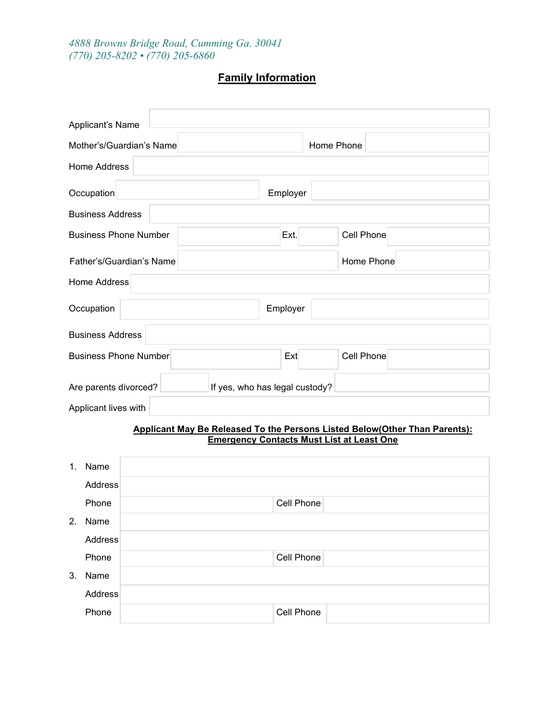*4888 Browns Bridge Road, Cumming Ga. 30041 (770) 205-8202 • (770) 205-6860*

# **Family Information**

| Applicant's Name                                        |      |            |  |  |  |  |  |  |
|---------------------------------------------------------|------|------------|--|--|--|--|--|--|
| Home Phone<br>Mother's/Guardian's Name                  |      |            |  |  |  |  |  |  |
| Home Address                                            |      |            |  |  |  |  |  |  |
| Occupation<br>Employer                                  |      |            |  |  |  |  |  |  |
| <b>Business Address</b>                                 |      |            |  |  |  |  |  |  |
| <b>Business Phone Number</b>                            | Ext. | Cell Phone |  |  |  |  |  |  |
| Father's/Guardian's Name                                |      | Home Phone |  |  |  |  |  |  |
| <b>Home Address</b>                                     |      |            |  |  |  |  |  |  |
| Employer<br>Occupation                                  |      |            |  |  |  |  |  |  |
| <b>Business Address</b>                                 |      |            |  |  |  |  |  |  |
| <b>Business Phone Number</b>                            | Ext  | Cell Phone |  |  |  |  |  |  |
| If yes, who has legal custody?<br>Are parents divorced? |      |            |  |  |  |  |  |  |
| Applicant lives with                                    |      |            |  |  |  |  |  |  |

#### **Applicant May Be Released To the Persons Listed Below(Other Than Parents): Emergency Contacts Must List at Least One**

| 1. | Name    |            |
|----|---------|------------|
|    | Address |            |
|    | Phone   | Cell Phone |
| 2. | Name    |            |
|    | Address |            |
|    | Phone   | Cell Phone |
| 3. | Name    |            |
|    | Address |            |
|    | Phone   | Cell Phone |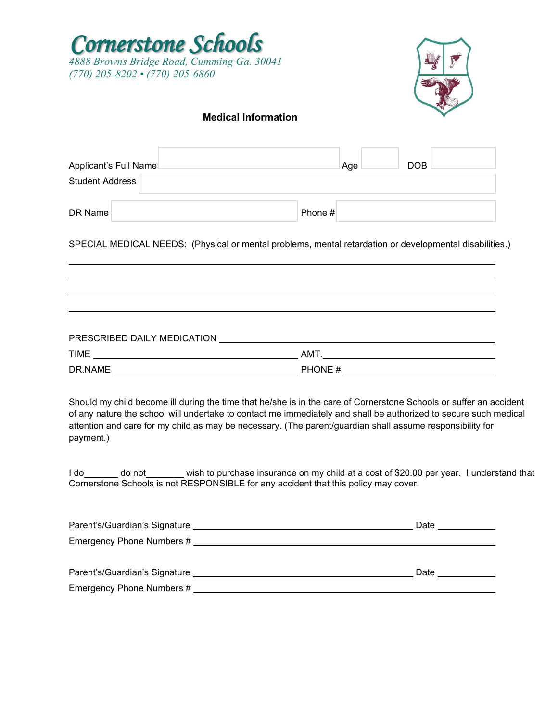



### **Medical Information**

| Applicant's Full Name<br><b>Student Address</b>                                                                                                                                                                                                                                                                                                                                                                                                                                                                                                            |         | Age | <b>DOB</b> |  |
|------------------------------------------------------------------------------------------------------------------------------------------------------------------------------------------------------------------------------------------------------------------------------------------------------------------------------------------------------------------------------------------------------------------------------------------------------------------------------------------------------------------------------------------------------------|---------|-----|------------|--|
| DR Name                                                                                                                                                                                                                                                                                                                                                                                                                                                                                                                                                    | Phone # |     |            |  |
| SPECIAL MEDICAL NEEDS: (Physical or mental problems, mental retardation or developmental disabilities.)                                                                                                                                                                                                                                                                                                                                                                                                                                                    |         |     |            |  |
|                                                                                                                                                                                                                                                                                                                                                                                                                                                                                                                                                            |         |     |            |  |
|                                                                                                                                                                                                                                                                                                                                                                                                                                                                                                                                                            |         |     |            |  |
| PRESCRIBED DAILY MEDICATION <b>And A SERVICE SERVICE STATES AND A SERVICE STATES.</b>                                                                                                                                                                                                                                                                                                                                                                                                                                                                      |         |     |            |  |
|                                                                                                                                                                                                                                                                                                                                                                                                                                                                                                                                                            |         |     |            |  |
|                                                                                                                                                                                                                                                                                                                                                                                                                                                                                                                                                            |         |     |            |  |
| Should my child become ill during the time that he/she is in the care of Cornerstone Schools or suffer an accident<br>of any nature the school will undertake to contact me immediately and shall be authorized to secure such medical<br>attention and care for my child as may be necessary. (The parent/guardian shall assume responsibility for<br>payment.)<br>I do set of \$20.00 per year. I understand that I do set of \$20.00 per year. I understand that<br>Cornerstone Schools is not RESPONSIBLE for any accident that this policy may cover. |         |     |            |  |
|                                                                                                                                                                                                                                                                                                                                                                                                                                                                                                                                                            |         |     |            |  |
| Emergency Phone Numbers # 2007 2008 2009 2009 2009 2012 2022 2023                                                                                                                                                                                                                                                                                                                                                                                                                                                                                          |         |     |            |  |